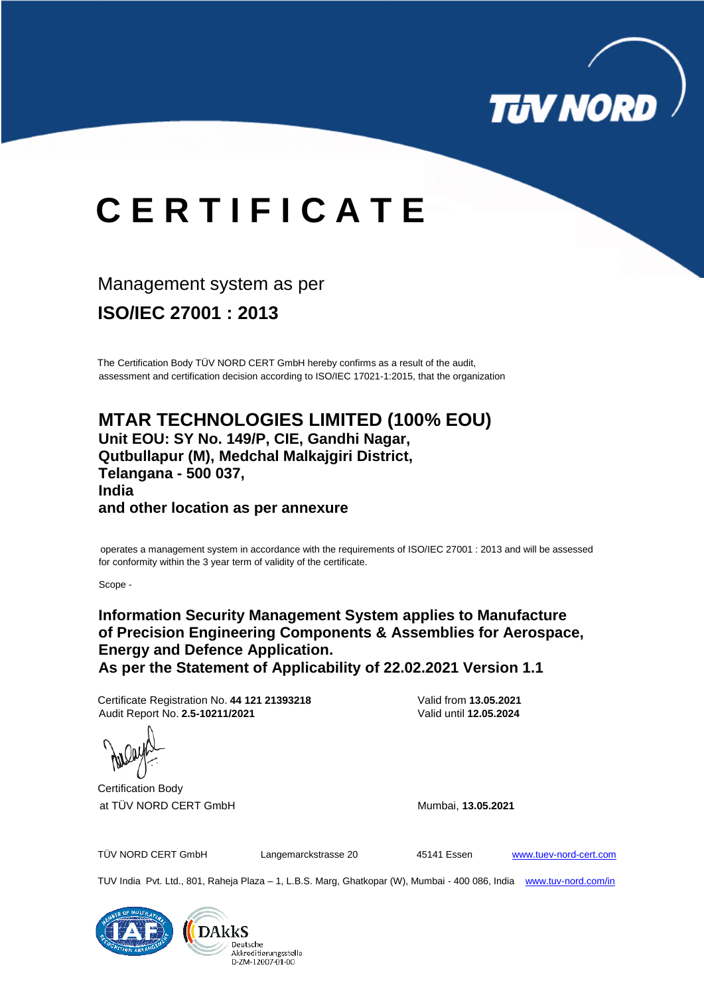

# **C E R T I F I C A T E**

## Management system as per

**ISO/IEC 27001 : 2013**

The Certification Body TÜV NORD CERT GmbH hereby confirms as a result of the audit, assessment and certification decision according to ISO/IEC 17021-1:2015, that the organization

### **MTAR TECHNOLOGIES LIMITED (100% EOU) Unit EOU: SY No. 149/P, CIE, Gandhi Nagar, Qutbullapur (M), Medchal Malkajgiri District, Telangana - 500 037, India and other location as per annexure**

### Certification Body at TÜV NORD CERT GmbH Mumbai, **13.05.2021**

TÜV NORD CERT GmbH Langemarckstrasse 20 45141 Essen [www.tuev-nord-cert.com](http://www.tuev-nord-cert.com/)

TUV India Pvt. Ltd., 801, Raheja Plaza – 1, L.B.S. Marg, Ghatkopar (W), Mumbai - 400 086, India www.tuv-nord.com/in



operates a management system in accordance with the requirements of ISO/IEC 27001 : 2013 and will be assessed for conformity within the 3 year term of validity of the certificate.

Scope -

**Information Security Management System applies to Manufacture of Precision Engineering Components & Assemblies for Aerospace, Energy and Defence Application. As per the Statement of Applicability of 22.02.2021 Version 1.1**

Certificate Registration No. **44 121 21393218** Valid from **13.05.2021** Audit Report No. **2.5-10211/2021** Valid until **12.05.2024**

 $\mathcal{L}_{\text{full}}$